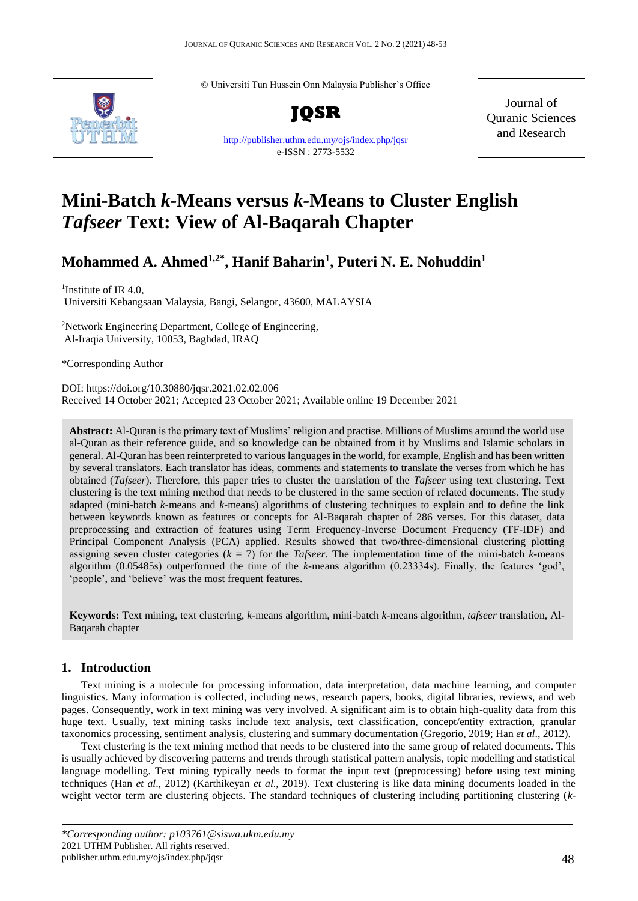© Universiti Tun Hussein Onn Malaysia Publisher's Office



**JQSR**

[http://publisher.uthm.edu.my/ojs/index.php/jqsr](https://publisher.uthm.edu.my/ojs/index.php/jqsr) e-ISSN : 2773-5532

Journal of Quranic Sciences and Research

# **Mini-Batch** *k-***Means versus** *k-***Means to Cluster English**  *Tafseer* **Text: View of Al-Baqarah Chapter**

# **Mohammed A. Ahmed1,2\* , Hanif Baharin<sup>1</sup> , Puteri N. E. Nohuddin<sup>1</sup>**

<sup>1</sup>Institute of IR 4.0, Universiti Kebangsaan Malaysia, Bangi, Selangor, 43600, MALAYSIA

<sup>2</sup>Network Engineering Department, College of Engineering, Al-Iraqia University, 10053, Baghdad, IRAQ

\*Corresponding Author

DOI: https://doi.org/10.30880/jqsr.2021.02.02.006 Received 14 October 2021; Accepted 23 October 2021; Available online 19 December 2021

**Abstract:** Al-Quran is the primary text of Muslims' religion and practise. Millions of Muslims around the world use al-Quran as their reference guide, and so knowledge can be obtained from it by Muslims and Islamic scholars in general. Al-Quran has been reinterpreted to various languages in the world, for example, English and has been written by several translators. Each translator has ideas, comments and statements to translate the verses from which he has obtained (*Tafseer*). Therefore, this paper tries to cluster the translation of the *Tafseer* using text clustering. Text clustering is the text mining method that needs to be clustered in the same section of related documents. The study adapted (mini-batch *k-*means and *k-*means) algorithms of clustering techniques to explain and to define the link between keywords known as features or concepts for Al-Baqarah chapter of 286 verses. For this dataset, data preprocessing and extraction of features using Term Frequency-Inverse Document Frequency (TF-IDF) and Principal Component Analysis (PCA) applied. Results showed that two/three-dimensional clustering plotting assigning seven cluster categories  $(k = 7)$  for the *Tafseer*. The implementation time of the mini-batch *k*-means algorithm (0.05485s) outperformed the time of the *k-*means algorithm (0.23334s). Finally, the features 'god', 'people', and 'believe' was the most frequent features.

**Keywords:** Text mining, text clustering, *k-*means algorithm, mini-batch *k-*means algorithm, *tafseer* translation, Al-Baqarah chapter

### **1. Introduction**

Text mining is a molecule for processing information, data interpretation, data machine learning, and computer linguistics. Many information is collected, including news, research papers, books, digital libraries, reviews, and web pages. Consequently, work in text mining was very involved. A significant aim is to obtain high-quality data from this huge text. Usually, text mining tasks include text analysis, text classification, concept/entity extraction, granular taxonomics processing, sentiment analysis, clustering and summary documentation (Gregorio, 2019; Han *et al*., 2012).

Text clustering is the text mining method that needs to be clustered into the same group of related documents. This is usually achieved by discovering patterns and trends through statistical pattern analysis, topic modelling and statistical language modelling. Text mining typically needs to format the input text (preprocessing) before using text mining techniques (Han *et al*., 2012) (Karthikeyan *et al*., 2019). Text clustering is like data mining documents loaded in the weight vector term are clustering objects. The standard techniques of clustering including partitioning clustering (*k-*

*<sup>\*</sup>Corresponding author: p103761@siswa.ukm.edu.my* 2021 UTHM Publisher. All rights reserved. publisher.uthm.edu.my/ojs/index.php/jqsr 48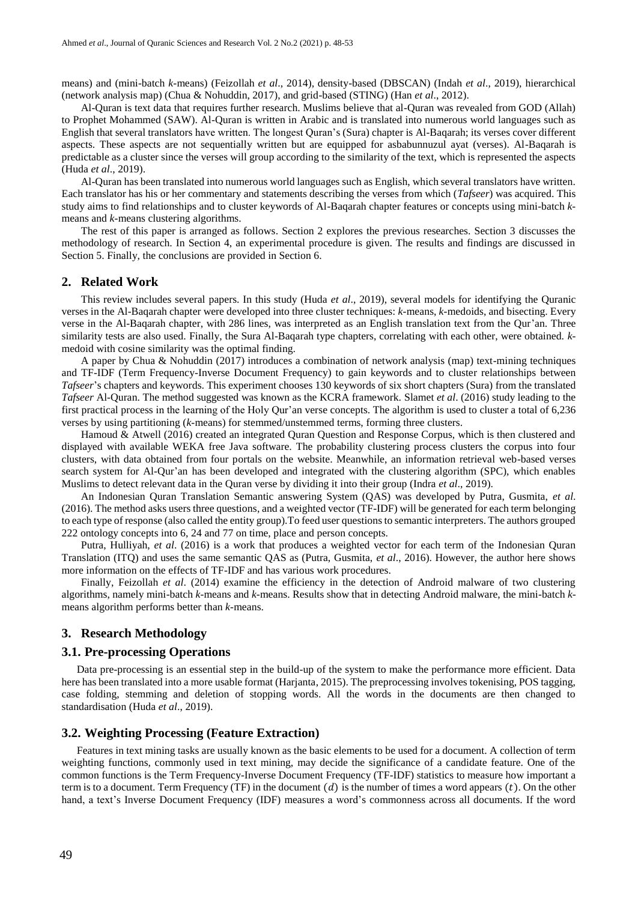means) and (mini-batch *k-*means) (Feizollah *et al*., 2014), density-based (DBSCAN) (Indah *et al*., 2019), hierarchical (network analysis map) (Chua & Nohuddin, 2017), and grid-based (STING) (Han *et al*., 2012).

Al-Quran is text data that requires further research. Muslims believe that al-Quran was revealed from GOD (Allah) to Prophet Mohammed (SAW). Al-Quran is written in Arabic and is translated into numerous world languages such as English that several translators have written. The longest Quran's (Sura) chapter is Al-Baqarah; its verses cover different aspects. These aspects are not sequentially written but are equipped for asbabunnuzul ayat (verses). Al-Baqarah is predictable as a cluster since the verses will group according to the similarity of the text, which is represented the aspects (Huda *et al*., 2019).

Al-Quran has been translated into numerous world languages such as English, which several translators have written. Each translator has his or her commentary and statements describing the verses from which (*Tafseer*) was acquired. This study aims to find relationships and to cluster keywords of Al-Baqarah chapter features or concepts using mini-batch *k*means and *k-*means clustering algorithms.

The rest of this paper is arranged as follows. Section 2 explores the previous researches. Section 3 discusses the methodology of research. In Section 4, an experimental procedure is given. The results and findings are discussed in Section 5. Finally, the conclusions are provided in Section 6.

#### **2. Related Work**

This review includes several papers. In this study (Huda *et al*., 2019), several models for identifying the Quranic verses in the Al-Baqarah chapter were developed into three cluster techniques: *k-*means, *k-*medoids, and bisecting. Every verse in the Al-Baqarah chapter, with 286 lines, was interpreted as an English translation text from the Qur'an. Three similarity tests are also used. Finally, the Sura Al-Baqarah type chapters, correlating with each other, were obtained. *k*medoid with cosine similarity was the optimal finding.

A paper by Chua & Nohuddin (2017) introduces a combination of network analysis (map) text-mining techniques and TF-IDF (Term Frequency-Inverse Document Frequency) to gain keywords and to cluster relationships between *Tafseer*'s chapters and keywords. This experiment chooses 130 keywords of six short chapters (Sura) from the translated *Tafseer* Al-Quran. The method suggested was known as the KCRA framework. Slamet *et al*. (2016) study leading to the first practical process in the learning of the Holy Qur'an verse concepts. The algorithm is used to cluster a total of 6,236 verses by using partitioning (*k-*means) for stemmed/unstemmed terms, forming three clusters.

Hamoud & Atwell (2016) created an integrated Quran Question and Response Corpus, which is then clustered and displayed with available WEKA free Java software. The probability clustering process clusters the corpus into four clusters, with data obtained from four portals on the website. Meanwhile, an information retrieval web-based verses search system for Al-Qur'an has been developed and integrated with the clustering algorithm (SPC), which enables Muslims to detect relevant data in the Quran verse by dividing it into their group (Indra *et al*., 2019).

An Indonesian Quran Translation Semantic answering System (QAS) was developed by Putra, Gusmita, *et al*. (2016). The method asks users three questions, and a weighted vector (TF-IDF) will be generated for each term belonging to each type of response (also called the entity group).To feed user questions to semantic interpreters. The authors grouped 222 ontology concepts into 6, 24 and 77 on time, place and person concepts.

Putra, Hulliyah, *et al*. (2016) is a work that produces a weighted vector for each term of the Indonesian Quran Translation (ITQ) and uses the same semantic QAS as (Putra, Gusmita, *et al*., 2016). However, the author here shows more information on the effects of TF-IDF and has various work procedures.

Finally, Feizollah *et al*. (2014) examine the efficiency in the detection of Android malware of two clustering algorithms, namely mini-batch *k-*means and *k-*means. Results show that in detecting Android malware, the mini-batch *k*means algorithm performs better than *k-*means.

#### **3. Research Methodology**

#### **3.1. Pre-processing Operations**

Data pre-processing is an essential step in the build-up of the system to make the performance more efficient. Data here has been translated into a more usable format (Harjanta, 2015). The preprocessing involves tokenising, POS tagging, case folding, stemming and deletion of stopping words. All the words in the documents are then changed to standardisation (Huda *et al*., 2019).

## **3.2. Weighting Processing (Feature Extraction)**

Features in text mining tasks are usually known as the basic elements to be used for a document. A collection of term weighting functions, commonly used in text mining, may decide the significance of a candidate feature. One of the common functions is the Term Frequency-Inverse Document Frequency (TF-IDF) statistics to measure how important a term is to a document. Term Frequency (TF) in the document  $(d)$  is the number of times a word appears  $(t)$ . On the other hand, a text's Inverse Document Frequency (IDF) measures a word's commonness across all documents. If the word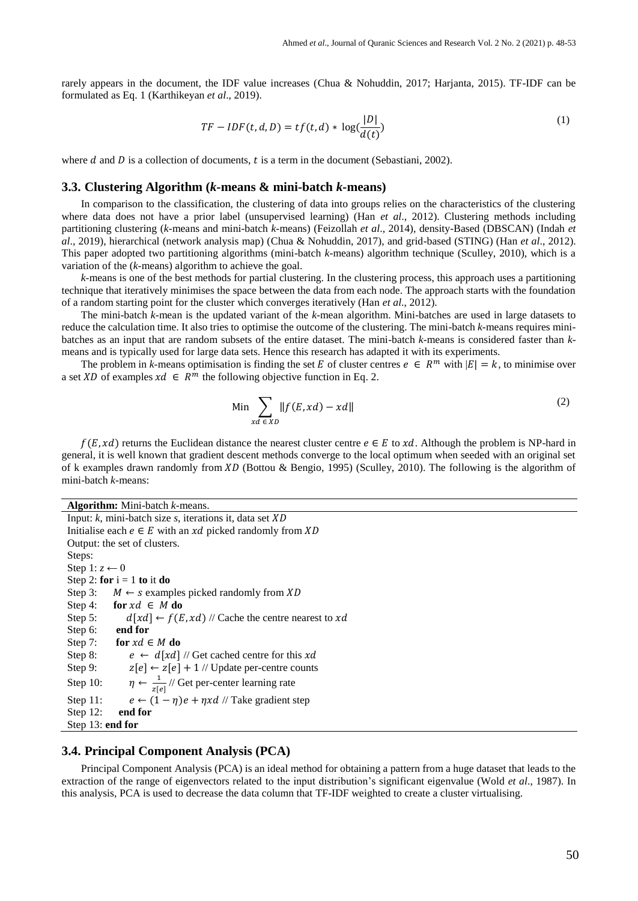rarely appears in the document, the IDF value increases (Chua & Nohuddin, 2017; Harjanta, 2015). TF-IDF can be formulated as Eq. 1 (Karthikeyan *et al*., 2019).

$$
TF - IDF(t, d, D) = tf(t, d) * log(\frac{|D|}{d(t)})
$$
\n(1)

where d and D is a collection of documents, t is a term in the document (Sebastiani, 2002).

### **3.3. Clustering Algorithm (***k-***means & mini-batch** *k-***means)**

In comparison to the classification, the clustering of data into groups relies on the characteristics of the clustering where data does not have a prior label (unsupervised learning) (Han *et al*., 2012). Clustering methods including partitioning clustering (*k-*means and mini-batch *k-*means) (Feizollah *et al*., 2014), density-Based (DBSCAN) (Indah *et al*., 2019), hierarchical (network analysis map) (Chua & Nohuddin, 2017), and grid-based (STING) (Han *et al*., 2012). This paper adopted two partitioning algorithms (mini-batch *k-*means) algorithm technique (Sculley, 2010), which is a variation of the (*k-*means) algorithm to achieve the goal.

*k-*means is one of the best methods for partial clustering. In the clustering process, this approach uses a partitioning technique that iteratively minimises the space between the data from each node. The approach starts with the foundation of a random starting point for the cluster which converges iteratively (Han *et al*., 2012).

The mini-batch *k-*mean is the updated variant of the *k-*mean algorithm. Mini-batches are used in large datasets to reduce the calculation time. It also tries to optimise the outcome of the clustering. The mini-batch *k-*means requires minibatches as an input that are random subsets of the entire dataset. The mini-batch *k-*means is considered faster than *k*means and is typically used for large data sets. Hence this research has adapted it with its experiments.

The problem in *k*-means optimisation is finding the set *E* of cluster centres  $e \in R^m$  with  $|E| = k$ , to minimise over a set XD of examples  $xd \in R^m$  the following objective function in Eq. 2.

$$
\lim_{x \to a} \sum_{\epsilon \ge 0} \|f(E, xd) - xd\| \tag{2}
$$

 $f(E, xd)$  returns the Euclidean distance the nearest cluster centre  $e \in E$  to xd. Although the problem is NP-hard in general, it is well known that gradient descent methods converge to the local optimum when seeded with an original set of k examples drawn randomly from XD (Bottou & Bengio, 1995) (Sculley, 2010). The following is the algorithm of mini-batch *k-*means:

**Algorithm:** Mini-batch *k-*means. Input: *k*, mini-batch size *s*, iterations it, data set Initialise each  $e \in E$  with an  $xd$  picked randomly from  $XD$ Output: the set of clusters. Steps: Step 1:  $z \leftarrow 0$ Step 2: **for**  $i = 1$  **to** it **do** Step 3:  $M \leftarrow s$  examples picked randomly from XD Step 4: **for**  $xd \in M$  **do** Step 5:  $d[xd] \leftarrow f(E, xd)$  // Cache the centre nearest to xd Step 6: **end for** Step 7: **for**  $xd \in M$  **do** Step 8:  $e \leftarrow d[xd]$  // Get cached centre for this xd Step 9:  $z[e] \leftarrow z[e] + 1$  // Update per-centre counts Step 10:  $\frac{1}{|z|e|}$  // Get per-center learning rate Step 11:  $e \leftarrow (1 - \eta)e + \eta x d$  // Take gradient step Step 12: **end for** Step 13: **end for**

### **3.4. Principal Component Analysis (PCA)**

Principal Component Analysis (PCA) is an ideal method for obtaining a pattern from a huge dataset that leads to the extraction of the range of eigenvectors related to the input distribution's significant eigenvalue (Wold *et al*., 1987). In this analysis, PCA is used to decrease the data column that TF-IDF weighted to create a cluster virtualising.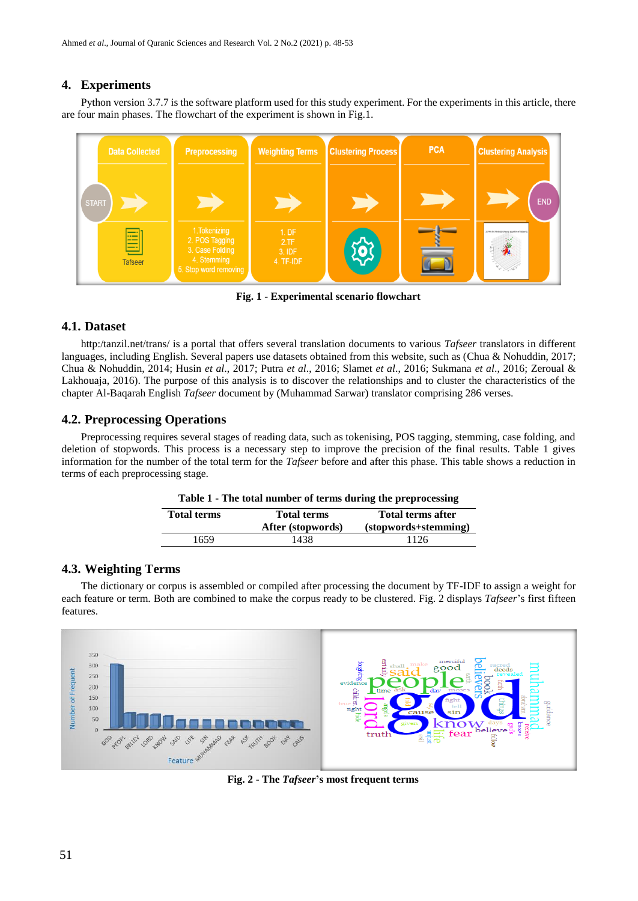# **4. Experiments**

Python version 3.7.7 is the software platform used for this study experiment. For the experiments in this article, there are four main phases. The flowchart of the experiment is shown in Fig.1.



**Fig. 1 - Experimental scenario flowchart**

# **4.1. Dataset**

http:/tanzil.net/trans/ is a portal that offers several translation documents to various *Tafseer* translators in different languages, including English. Several papers use datasets obtained from this website, such as (Chua & Nohuddin, 2017; Chua & Nohuddin, 2014; Husin *et al*., 2017; Putra *et al*., 2016; Slamet *et al*., 2016; Sukmana *et al*., 2016; Zeroual & Lakhouaja, 2016). The purpose of this analysis is to discover the relationships and to cluster the characteristics of the chapter Al-Baqarah English *Tafseer* document by (Muhammad Sarwar) translator comprising 286 verses.

# **4.2. Preprocessing Operations**

Preprocessing requires several stages of reading data, such as tokenising, POS tagging, stemming, case folding, and deletion of stopwords. This process is a necessary step to improve the precision of the final results. Table 1 gives information for the number of the total term for the *Tafseer* before and after this phase. This table shows a reduction in terms of each preprocessing stage.

| Table 1 - The total number of terms during the preprocessing |                    |                          |
|--------------------------------------------------------------|--------------------|--------------------------|
| <b>Total terms</b>                                           | <b>Total terms</b> | <b>Total terms after</b> |
|                                                              | After (stopwords)  | (stopwords+stemming)     |
| 1659                                                         | 1438               | 1126                     |

### **Table 1 - The total number of terms during the preprocessing**

# **4.3. Weighting Terms**

The dictionary or corpus is assembled or compiled after processing the document by TF-IDF to assign a weight for each feature or term. Both are combined to make the corpus ready to be clustered. Fig. 2 displays *Tafseer*'s first fifteen features.



**Fig. 2 - The** *Tafseer***'s most frequent terms**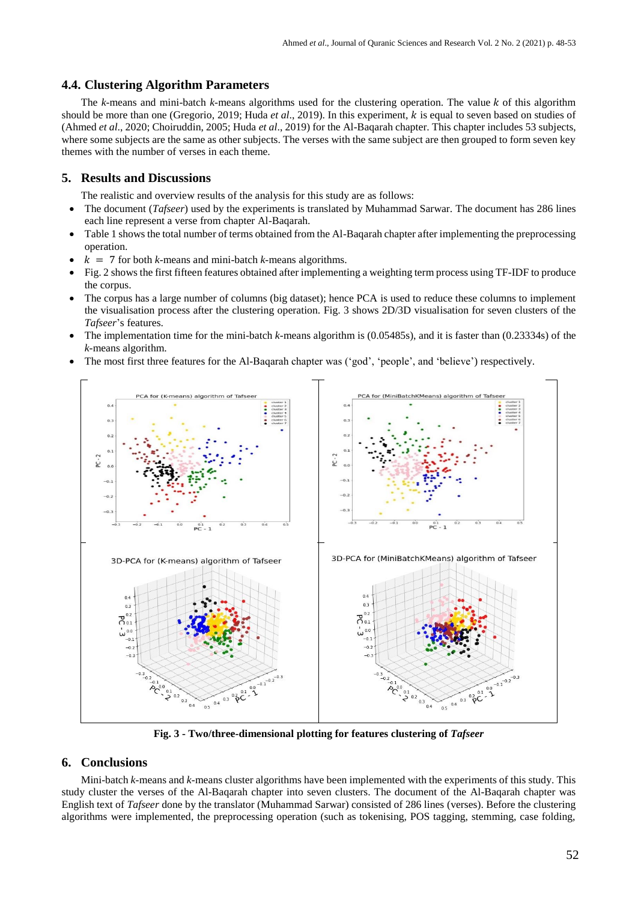### **4.4. Clustering Algorithm Parameters**

The *k*-means and mini-batch *k*-means algorithms used for the clustering operation. The value *k* of this algorithm should be more than one (Gregorio, 2019; Huda *et al*., 2019). In this experiment, is equal to seven based on studies of (Ahmed *et al*., 2020; Choiruddin, 2005; Huda *et al*., 2019) for the Al-Baqarah chapter. This chapter includes 53 subjects, where some subjects are the same as other subjects. The verses with the same subject are then grouped to form seven key themes with the number of verses in each theme.

## **5. Results and Discussions**

The realistic and overview results of the analysis for this study are as follows:

- The document (*Tafseer*) used by the experiments is translated by Muhammad Sarwar. The document has 286 lines each line represent a verse from chapter Al-Baqarah.
- Table 1 shows the total number of terms obtained from the Al-Baqarah chapter after implementing the preprocessing operation.
- $k = 7$  for both *k*-means and mini-batch *k*-means algorithms.
- Fig. 2 shows the first fifteen features obtained after implementing a weighting term process using TF-IDF to produce the corpus.
- The corpus has a large number of columns (big dataset); hence PCA is used to reduce these columns to implement the visualisation process after the clustering operation. Fig. 3 shows 2D/3D visualisation for seven clusters of the *Tafseer*'s features.
- The implementation time for the mini-batch *k-*means algorithm is (0.05485s), and it is faster than (0.23334s) of the *k-*means algorithm.
- The most first three features for the Al-Baqarah chapter was ('god', 'people', and 'believe') respectively.



**Fig. 3 - Two/three-dimensional plotting for features clustering of** *Tafseer*

### **6. Conclusions**

Mini-batch *k-*means and *k-*means cluster algorithms have been implemented with the experiments of this study. This study cluster the verses of the Al-Baqarah chapter into seven clusters. The document of the Al-Baqarah chapter was English text of *Tafseer* done by the translator (Muhammad Sarwar) consisted of 286 lines (verses). Before the clustering algorithms were implemented, the preprocessing operation (such as tokenising, POS tagging, stemming, case folding,